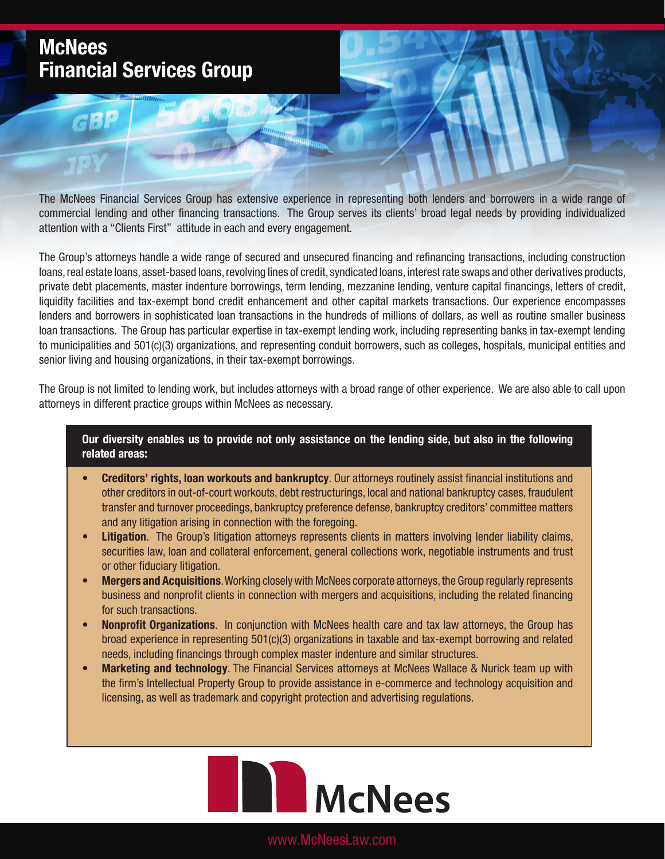## **McNees Financial Services Group**

 $G$  $B$ 

The McNees Financial Services Group has extensive experience in representing both lenders and borrowers in a wide range of commercial lending and other financing transactions. The Group serves its clients' broad legal needs by providing individualized attention with a "Clients First" attitude in each and every engagement.

The Group's attorneys handle a wide range of secured and unsecured financing and refinancing transactions, including construction loans, real estate loans, asset-based loans, revolving lines of credit, syndicated loans, interest rate swaps and other derivatives products, private debt placements, master indenture borrowings, term lending, mezzanine lending, venture capital financings, letters of credit, liquidity facilities and tax-exempt bond credit enhancement and other capital markets transactions. Our experience encompasses lenders and borrowers in sophisticated loan transactions in the hundreds of millions of dollars, as well as routine smaller business loan transactions. The Group has particular expertise in tax-exempt lending work, including representing banks in tax-exempt lending to municipalities and 501(c)(3) organizations, and representing conduit borrowers, such as colleges, hospitals, municipal entities and senior living and housing organizations, in their tax-exempt borrowings.

The Group is not limited to lending work, but includes attorneys with a broad range of other experience. We are also able to call upon attorneys in different practice groups within McNees as necessary.

**Our diversity enables us to provide not only assistance on the lending side, but also in the following related areas:**

- **• Creditors' rights, loan workouts and bankruptcy**. Our attorneys routinely assist financial institutions and other creditors in out-of-court workouts, debt restructurings, local and national bankruptcy cases, fraudulent transfer and turnover proceedings, bankruptcy preference defense, bankruptcy creditors' committee matters and any litigation arising in connection with the foregoing.
- **• Litigation**. The Group's litigation attorneys represents clients in matters involving lender liability claims, securities law, loan and collateral enforcement, general collections work, negotiable instruments and trust or other fiduciary litigation.
- **• Mergers and Acquisitions**. Working closely with McNees corporate attorneys, the Group regularly represents business and nonprofit clients in connection with mergers and acquisitions, including the related financing for such transactions.
- **• Nonprofit Organizations**. In conjunction with McNees health care and tax law attorneys, the Group has broad experience in representing 501(c)(3) organizations in taxable and tax-exempt borrowing and related needs, including financings through complex master indenture and similar structures.
- **• Marketing and technology**. The Financial Services attorneys at McNees Wallace & Nurick team up with the firm's Intellectual Property Group to provide assistance in e-commerce and technology acquisition and licensing, as well as trademark and copyright protection and advertising regulations.



www.McNeesLaw.com